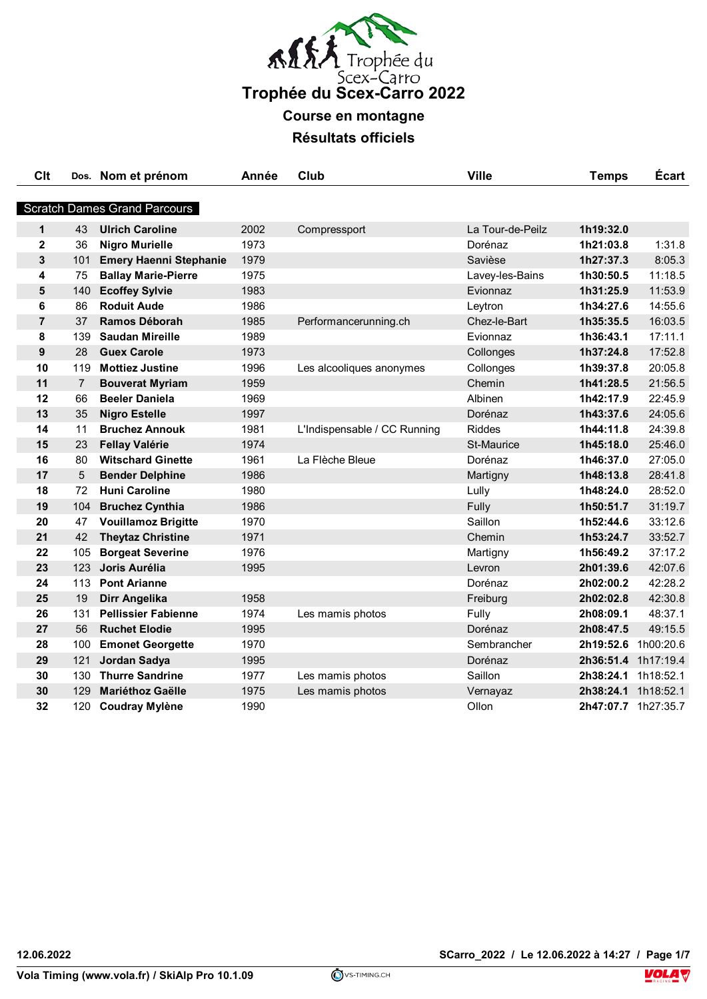

**Course en montagne**

**Résultats officiels**

| <b>Scratch Dames Grand Parcours</b><br>$\mathbf{1}$<br>43<br><b>Ulrich Caroline</b><br>2002<br>La Tour-de-Peilz<br>1h19:32.0<br>Compressport<br>1973<br>$\mathbf{2}$<br>36<br><b>Nigro Murielle</b><br>Dorénaz<br>1h21:03.8<br>1:31.8<br>3<br>1979<br>8:05.3<br>101<br><b>Emery Haenni Stephanie</b><br>Savièse<br>1h27:37.3<br><b>Ballay Marie-Pierre</b><br>1975<br>11:18.5<br>4<br>75<br>Lavey-les-Bains<br>1h30:50.5<br>140<br>1983<br>5<br><b>Ecoffey Sylvie</b><br>Evionnaz<br>1h31:25.9<br><b>Roduit Aude</b><br>6<br>86<br>1986<br>1h34:27.6<br>Leytron<br>$\overline{7}$<br>37<br>Ramos Déborah<br>1985<br>1h35:35.5<br>Performancerunning.ch<br>Chez-le-Bart<br>8<br>1989<br>17:11.1<br>139<br><b>Saudan Mireille</b><br>1h36:43.1<br>Evionnaz<br>9<br>28<br><b>Guex Carole</b><br>1973<br>1h37:24.8<br>Collonges<br>10<br><b>Mottiez Justine</b><br>1996<br>1h39:37.8<br>119<br>Collonges<br>Les alcooliques anonymes<br>11<br>$\overline{7}$<br>1959<br>Chemin<br>1h41:28.5<br><b>Bouverat Myriam</b><br>12<br><b>Beeler Daniela</b><br>1969<br>Albinen<br>66<br>1h42:17.9<br>13<br>35<br><b>Nigro Estelle</b><br>1997<br>1h43:37.6<br>Dorénaz<br>14<br>11<br><b>Bruchez Annouk</b><br>1981<br>L'Indispensable / CC Running<br><b>Riddes</b><br>1h44:11.8<br>15<br>1974<br>23<br><b>Fellay Valérie</b><br><b>St-Maurice</b><br>1h45:18.0<br>16<br><b>Witschard Ginette</b><br>1961<br>La Flèche Bleue<br>80<br>Dorénaz<br>1h46:37.0<br>17<br>5<br>1986<br><b>Bender Delphine</b><br>1h48:13.8<br>Martigny<br>18<br>72<br><b>Huni Caroline</b><br>1980<br>Lully<br>1h48:24.0<br>19<br>1986<br>104<br><b>Bruchez Cynthia</b><br>Fully<br>1h50:51.7<br>20<br>47<br><b>Vouillamoz Brigitte</b><br>1970<br>Saillon<br>1h52:44.6<br>21<br>42<br><b>Theytaz Christine</b><br>1971<br>Chemin<br>1h53:24.7<br>22<br>1976<br>105<br><b>Borgeat Severine</b><br>1h56:49.2<br>Martigny<br>23<br>123<br>Joris Aurélia<br>1995<br>2h01:39.6<br>Levron<br>24<br>113<br><b>Pont Arianne</b><br>2h02:00.2<br>Dorénaz<br>25<br>19<br>Dirr Angelika<br>1958<br>Freiburg<br>2h02:02.8<br>26<br><b>Pellissier Fabienne</b><br>1974<br>48:37.1<br>131<br>Les mamis photos<br>Fully<br>2h08:09.1<br>27<br><b>Ruchet Elodie</b><br>1995<br>Dorénaz<br>56<br>2h08:47.5<br>28<br>1970<br>100<br><b>Emonet Georgette</b><br>Sembrancher<br>2h19:52.6 1h00:20.6<br>29<br>121<br>Jordan Sadya<br>1995<br>2h36:51.4 1h17:19.4<br>Dorénaz<br>30<br><b>Thurre Sandrine</b><br>1977<br>Saillon<br>1h18:52.1<br>130<br>Les mamis photos<br>2h38:24.1<br>30<br>129<br><b>Mariéthoz Gaëlle</b><br>1975<br>2h38:24.1<br>Les mamis photos<br>Vernayaz<br>32<br>1990<br>Ollon<br>2h47:07.7 1h27:35.7<br>120 Coudray Mylène | Clt | Dos. Nom et prénom | Année | Club | <b>Ville</b> | <b>Temps</b> | <b>Ecart</b> |
|-------------------------------------------------------------------------------------------------------------------------------------------------------------------------------------------------------------------------------------------------------------------------------------------------------------------------------------------------------------------------------------------------------------------------------------------------------------------------------------------------------------------------------------------------------------------------------------------------------------------------------------------------------------------------------------------------------------------------------------------------------------------------------------------------------------------------------------------------------------------------------------------------------------------------------------------------------------------------------------------------------------------------------------------------------------------------------------------------------------------------------------------------------------------------------------------------------------------------------------------------------------------------------------------------------------------------------------------------------------------------------------------------------------------------------------------------------------------------------------------------------------------------------------------------------------------------------------------------------------------------------------------------------------------------------------------------------------------------------------------------------------------------------------------------------------------------------------------------------------------------------------------------------------------------------------------------------------------------------------------------------------------------------------------------------------------------------------------------------------------------------------------------------------------------------------------------------------------------------------------------------------------------------------------------------------------------------------------------------------------------------------------------------------------------------------------------------------------------------------------------------------------------------------------------------------------------------------------------------------------------------------------------------------------------------------------------|-----|--------------------|-------|------|--------------|--------------|--------------|
|                                                                                                                                                                                                                                                                                                                                                                                                                                                                                                                                                                                                                                                                                                                                                                                                                                                                                                                                                                                                                                                                                                                                                                                                                                                                                                                                                                                                                                                                                                                                                                                                                                                                                                                                                                                                                                                                                                                                                                                                                                                                                                                                                                                                                                                                                                                                                                                                                                                                                                                                                                                                                                                                                                 |     |                    |       |      |              |              |              |
|                                                                                                                                                                                                                                                                                                                                                                                                                                                                                                                                                                                                                                                                                                                                                                                                                                                                                                                                                                                                                                                                                                                                                                                                                                                                                                                                                                                                                                                                                                                                                                                                                                                                                                                                                                                                                                                                                                                                                                                                                                                                                                                                                                                                                                                                                                                                                                                                                                                                                                                                                                                                                                                                                                 |     |                    |       |      |              |              |              |
|                                                                                                                                                                                                                                                                                                                                                                                                                                                                                                                                                                                                                                                                                                                                                                                                                                                                                                                                                                                                                                                                                                                                                                                                                                                                                                                                                                                                                                                                                                                                                                                                                                                                                                                                                                                                                                                                                                                                                                                                                                                                                                                                                                                                                                                                                                                                                                                                                                                                                                                                                                                                                                                                                                 |     |                    |       |      |              |              |              |
|                                                                                                                                                                                                                                                                                                                                                                                                                                                                                                                                                                                                                                                                                                                                                                                                                                                                                                                                                                                                                                                                                                                                                                                                                                                                                                                                                                                                                                                                                                                                                                                                                                                                                                                                                                                                                                                                                                                                                                                                                                                                                                                                                                                                                                                                                                                                                                                                                                                                                                                                                                                                                                                                                                 |     |                    |       |      |              |              |              |
|                                                                                                                                                                                                                                                                                                                                                                                                                                                                                                                                                                                                                                                                                                                                                                                                                                                                                                                                                                                                                                                                                                                                                                                                                                                                                                                                                                                                                                                                                                                                                                                                                                                                                                                                                                                                                                                                                                                                                                                                                                                                                                                                                                                                                                                                                                                                                                                                                                                                                                                                                                                                                                                                                                 |     |                    |       |      |              |              |              |
|                                                                                                                                                                                                                                                                                                                                                                                                                                                                                                                                                                                                                                                                                                                                                                                                                                                                                                                                                                                                                                                                                                                                                                                                                                                                                                                                                                                                                                                                                                                                                                                                                                                                                                                                                                                                                                                                                                                                                                                                                                                                                                                                                                                                                                                                                                                                                                                                                                                                                                                                                                                                                                                                                                 |     |                    |       |      |              |              |              |
|                                                                                                                                                                                                                                                                                                                                                                                                                                                                                                                                                                                                                                                                                                                                                                                                                                                                                                                                                                                                                                                                                                                                                                                                                                                                                                                                                                                                                                                                                                                                                                                                                                                                                                                                                                                                                                                                                                                                                                                                                                                                                                                                                                                                                                                                                                                                                                                                                                                                                                                                                                                                                                                                                                 |     |                    |       |      |              |              | 11:53.9      |
|                                                                                                                                                                                                                                                                                                                                                                                                                                                                                                                                                                                                                                                                                                                                                                                                                                                                                                                                                                                                                                                                                                                                                                                                                                                                                                                                                                                                                                                                                                                                                                                                                                                                                                                                                                                                                                                                                                                                                                                                                                                                                                                                                                                                                                                                                                                                                                                                                                                                                                                                                                                                                                                                                                 |     |                    |       |      |              |              | 14:55.6      |
|                                                                                                                                                                                                                                                                                                                                                                                                                                                                                                                                                                                                                                                                                                                                                                                                                                                                                                                                                                                                                                                                                                                                                                                                                                                                                                                                                                                                                                                                                                                                                                                                                                                                                                                                                                                                                                                                                                                                                                                                                                                                                                                                                                                                                                                                                                                                                                                                                                                                                                                                                                                                                                                                                                 |     |                    |       |      |              |              | 16:03.5      |
|                                                                                                                                                                                                                                                                                                                                                                                                                                                                                                                                                                                                                                                                                                                                                                                                                                                                                                                                                                                                                                                                                                                                                                                                                                                                                                                                                                                                                                                                                                                                                                                                                                                                                                                                                                                                                                                                                                                                                                                                                                                                                                                                                                                                                                                                                                                                                                                                                                                                                                                                                                                                                                                                                                 |     |                    |       |      |              |              |              |
|                                                                                                                                                                                                                                                                                                                                                                                                                                                                                                                                                                                                                                                                                                                                                                                                                                                                                                                                                                                                                                                                                                                                                                                                                                                                                                                                                                                                                                                                                                                                                                                                                                                                                                                                                                                                                                                                                                                                                                                                                                                                                                                                                                                                                                                                                                                                                                                                                                                                                                                                                                                                                                                                                                 |     |                    |       |      |              |              | 17:52.8      |
|                                                                                                                                                                                                                                                                                                                                                                                                                                                                                                                                                                                                                                                                                                                                                                                                                                                                                                                                                                                                                                                                                                                                                                                                                                                                                                                                                                                                                                                                                                                                                                                                                                                                                                                                                                                                                                                                                                                                                                                                                                                                                                                                                                                                                                                                                                                                                                                                                                                                                                                                                                                                                                                                                                 |     |                    |       |      |              |              | 20:05.8      |
|                                                                                                                                                                                                                                                                                                                                                                                                                                                                                                                                                                                                                                                                                                                                                                                                                                                                                                                                                                                                                                                                                                                                                                                                                                                                                                                                                                                                                                                                                                                                                                                                                                                                                                                                                                                                                                                                                                                                                                                                                                                                                                                                                                                                                                                                                                                                                                                                                                                                                                                                                                                                                                                                                                 |     |                    |       |      |              |              | 21:56.5      |
|                                                                                                                                                                                                                                                                                                                                                                                                                                                                                                                                                                                                                                                                                                                                                                                                                                                                                                                                                                                                                                                                                                                                                                                                                                                                                                                                                                                                                                                                                                                                                                                                                                                                                                                                                                                                                                                                                                                                                                                                                                                                                                                                                                                                                                                                                                                                                                                                                                                                                                                                                                                                                                                                                                 |     |                    |       |      |              |              | 22:45.9      |
|                                                                                                                                                                                                                                                                                                                                                                                                                                                                                                                                                                                                                                                                                                                                                                                                                                                                                                                                                                                                                                                                                                                                                                                                                                                                                                                                                                                                                                                                                                                                                                                                                                                                                                                                                                                                                                                                                                                                                                                                                                                                                                                                                                                                                                                                                                                                                                                                                                                                                                                                                                                                                                                                                                 |     |                    |       |      |              |              | 24:05.6      |
|                                                                                                                                                                                                                                                                                                                                                                                                                                                                                                                                                                                                                                                                                                                                                                                                                                                                                                                                                                                                                                                                                                                                                                                                                                                                                                                                                                                                                                                                                                                                                                                                                                                                                                                                                                                                                                                                                                                                                                                                                                                                                                                                                                                                                                                                                                                                                                                                                                                                                                                                                                                                                                                                                                 |     |                    |       |      |              |              | 24:39.8      |
|                                                                                                                                                                                                                                                                                                                                                                                                                                                                                                                                                                                                                                                                                                                                                                                                                                                                                                                                                                                                                                                                                                                                                                                                                                                                                                                                                                                                                                                                                                                                                                                                                                                                                                                                                                                                                                                                                                                                                                                                                                                                                                                                                                                                                                                                                                                                                                                                                                                                                                                                                                                                                                                                                                 |     |                    |       |      |              |              | 25:46.0      |
|                                                                                                                                                                                                                                                                                                                                                                                                                                                                                                                                                                                                                                                                                                                                                                                                                                                                                                                                                                                                                                                                                                                                                                                                                                                                                                                                                                                                                                                                                                                                                                                                                                                                                                                                                                                                                                                                                                                                                                                                                                                                                                                                                                                                                                                                                                                                                                                                                                                                                                                                                                                                                                                                                                 |     |                    |       |      |              |              | 27:05.0      |
|                                                                                                                                                                                                                                                                                                                                                                                                                                                                                                                                                                                                                                                                                                                                                                                                                                                                                                                                                                                                                                                                                                                                                                                                                                                                                                                                                                                                                                                                                                                                                                                                                                                                                                                                                                                                                                                                                                                                                                                                                                                                                                                                                                                                                                                                                                                                                                                                                                                                                                                                                                                                                                                                                                 |     |                    |       |      |              |              | 28:41.8      |
|                                                                                                                                                                                                                                                                                                                                                                                                                                                                                                                                                                                                                                                                                                                                                                                                                                                                                                                                                                                                                                                                                                                                                                                                                                                                                                                                                                                                                                                                                                                                                                                                                                                                                                                                                                                                                                                                                                                                                                                                                                                                                                                                                                                                                                                                                                                                                                                                                                                                                                                                                                                                                                                                                                 |     |                    |       |      |              |              | 28:52.0      |
|                                                                                                                                                                                                                                                                                                                                                                                                                                                                                                                                                                                                                                                                                                                                                                                                                                                                                                                                                                                                                                                                                                                                                                                                                                                                                                                                                                                                                                                                                                                                                                                                                                                                                                                                                                                                                                                                                                                                                                                                                                                                                                                                                                                                                                                                                                                                                                                                                                                                                                                                                                                                                                                                                                 |     |                    |       |      |              |              | 31:19.7      |
|                                                                                                                                                                                                                                                                                                                                                                                                                                                                                                                                                                                                                                                                                                                                                                                                                                                                                                                                                                                                                                                                                                                                                                                                                                                                                                                                                                                                                                                                                                                                                                                                                                                                                                                                                                                                                                                                                                                                                                                                                                                                                                                                                                                                                                                                                                                                                                                                                                                                                                                                                                                                                                                                                                 |     |                    |       |      |              |              | 33:12.6      |
|                                                                                                                                                                                                                                                                                                                                                                                                                                                                                                                                                                                                                                                                                                                                                                                                                                                                                                                                                                                                                                                                                                                                                                                                                                                                                                                                                                                                                                                                                                                                                                                                                                                                                                                                                                                                                                                                                                                                                                                                                                                                                                                                                                                                                                                                                                                                                                                                                                                                                                                                                                                                                                                                                                 |     |                    |       |      |              |              | 33:52.7      |
|                                                                                                                                                                                                                                                                                                                                                                                                                                                                                                                                                                                                                                                                                                                                                                                                                                                                                                                                                                                                                                                                                                                                                                                                                                                                                                                                                                                                                                                                                                                                                                                                                                                                                                                                                                                                                                                                                                                                                                                                                                                                                                                                                                                                                                                                                                                                                                                                                                                                                                                                                                                                                                                                                                 |     |                    |       |      |              |              | 37:17.2      |
|                                                                                                                                                                                                                                                                                                                                                                                                                                                                                                                                                                                                                                                                                                                                                                                                                                                                                                                                                                                                                                                                                                                                                                                                                                                                                                                                                                                                                                                                                                                                                                                                                                                                                                                                                                                                                                                                                                                                                                                                                                                                                                                                                                                                                                                                                                                                                                                                                                                                                                                                                                                                                                                                                                 |     |                    |       |      |              |              | 42:07.6      |
|                                                                                                                                                                                                                                                                                                                                                                                                                                                                                                                                                                                                                                                                                                                                                                                                                                                                                                                                                                                                                                                                                                                                                                                                                                                                                                                                                                                                                                                                                                                                                                                                                                                                                                                                                                                                                                                                                                                                                                                                                                                                                                                                                                                                                                                                                                                                                                                                                                                                                                                                                                                                                                                                                                 |     |                    |       |      |              |              | 42:28.2      |
|                                                                                                                                                                                                                                                                                                                                                                                                                                                                                                                                                                                                                                                                                                                                                                                                                                                                                                                                                                                                                                                                                                                                                                                                                                                                                                                                                                                                                                                                                                                                                                                                                                                                                                                                                                                                                                                                                                                                                                                                                                                                                                                                                                                                                                                                                                                                                                                                                                                                                                                                                                                                                                                                                                 |     |                    |       |      |              |              | 42:30.8      |
|                                                                                                                                                                                                                                                                                                                                                                                                                                                                                                                                                                                                                                                                                                                                                                                                                                                                                                                                                                                                                                                                                                                                                                                                                                                                                                                                                                                                                                                                                                                                                                                                                                                                                                                                                                                                                                                                                                                                                                                                                                                                                                                                                                                                                                                                                                                                                                                                                                                                                                                                                                                                                                                                                                 |     |                    |       |      |              |              |              |
|                                                                                                                                                                                                                                                                                                                                                                                                                                                                                                                                                                                                                                                                                                                                                                                                                                                                                                                                                                                                                                                                                                                                                                                                                                                                                                                                                                                                                                                                                                                                                                                                                                                                                                                                                                                                                                                                                                                                                                                                                                                                                                                                                                                                                                                                                                                                                                                                                                                                                                                                                                                                                                                                                                 |     |                    |       |      |              |              | 49:15.5      |
|                                                                                                                                                                                                                                                                                                                                                                                                                                                                                                                                                                                                                                                                                                                                                                                                                                                                                                                                                                                                                                                                                                                                                                                                                                                                                                                                                                                                                                                                                                                                                                                                                                                                                                                                                                                                                                                                                                                                                                                                                                                                                                                                                                                                                                                                                                                                                                                                                                                                                                                                                                                                                                                                                                 |     |                    |       |      |              |              |              |
|                                                                                                                                                                                                                                                                                                                                                                                                                                                                                                                                                                                                                                                                                                                                                                                                                                                                                                                                                                                                                                                                                                                                                                                                                                                                                                                                                                                                                                                                                                                                                                                                                                                                                                                                                                                                                                                                                                                                                                                                                                                                                                                                                                                                                                                                                                                                                                                                                                                                                                                                                                                                                                                                                                 |     |                    |       |      |              |              |              |
|                                                                                                                                                                                                                                                                                                                                                                                                                                                                                                                                                                                                                                                                                                                                                                                                                                                                                                                                                                                                                                                                                                                                                                                                                                                                                                                                                                                                                                                                                                                                                                                                                                                                                                                                                                                                                                                                                                                                                                                                                                                                                                                                                                                                                                                                                                                                                                                                                                                                                                                                                                                                                                                                                                 |     |                    |       |      |              |              |              |
|                                                                                                                                                                                                                                                                                                                                                                                                                                                                                                                                                                                                                                                                                                                                                                                                                                                                                                                                                                                                                                                                                                                                                                                                                                                                                                                                                                                                                                                                                                                                                                                                                                                                                                                                                                                                                                                                                                                                                                                                                                                                                                                                                                                                                                                                                                                                                                                                                                                                                                                                                                                                                                                                                                 |     |                    |       |      |              |              | 1h18:52.1    |
|                                                                                                                                                                                                                                                                                                                                                                                                                                                                                                                                                                                                                                                                                                                                                                                                                                                                                                                                                                                                                                                                                                                                                                                                                                                                                                                                                                                                                                                                                                                                                                                                                                                                                                                                                                                                                                                                                                                                                                                                                                                                                                                                                                                                                                                                                                                                                                                                                                                                                                                                                                                                                                                                                                 |     |                    |       |      |              |              |              |



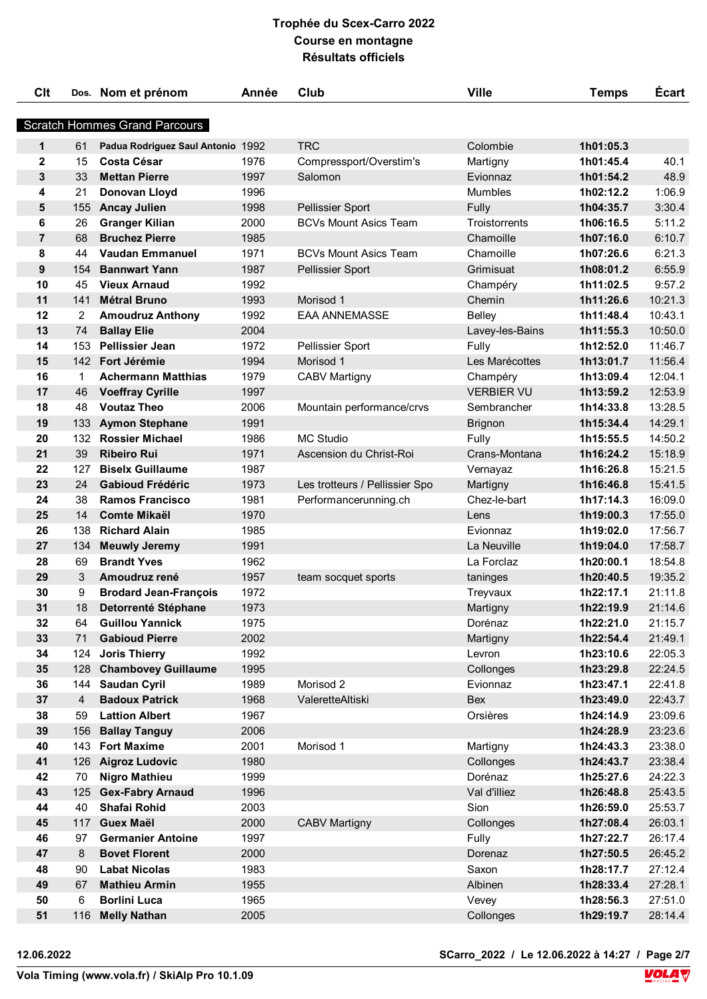| <b>Clt</b>     |                                      | Dos. Nom et prénom                            | Année        | Club                           | <b>Ville</b>        | <b>Temps</b>           | Écart              |  |  |  |
|----------------|--------------------------------------|-----------------------------------------------|--------------|--------------------------------|---------------------|------------------------|--------------------|--|--|--|
|                | <b>Scratch Hommes Grand Parcours</b> |                                               |              |                                |                     |                        |                    |  |  |  |
|                |                                      |                                               |              |                                |                     |                        |                    |  |  |  |
| $\mathbf{1}$   | 61                                   | Padua Rodriguez Saul Antonio 1992             |              | <b>TRC</b>                     | Colombie            | 1h01:05.3              |                    |  |  |  |
| $\mathbf{2}$   | 15                                   | <b>Costa César</b>                            | 1976         | Compressport/Overstim's        | Martigny            | 1h01:45.4              | 40.1               |  |  |  |
| 3              | 33                                   | <b>Mettan Pierre</b>                          | 1997         | Salomon                        | Evionnaz            | 1h01:54.2              | 48.9               |  |  |  |
| 4              | 21                                   | Donovan Lloyd                                 | 1996         |                                | <b>Mumbles</b>      | 1h02:12.2              | 1:06.9             |  |  |  |
| 5              | 155                                  | <b>Ancay Julien</b>                           | 1998         | <b>Pellissier Sport</b>        | Fully               | 1h04:35.7              | 3:30.4             |  |  |  |
| 6              | 26                                   | <b>Granger Kilian</b>                         | 2000         | <b>BCVs Mount Asics Team</b>   | Troistorrents       | 1h06:16.5              | 5:11.2             |  |  |  |
| $\overline{7}$ | 68                                   | <b>Bruchez Pierre</b>                         | 1985         |                                | Chamoille           | 1h07:16.0              | 6:10.7             |  |  |  |
| 8              | 44                                   | <b>Vaudan Emmanuel</b>                        | 1971         | <b>BCVs Mount Asics Team</b>   | Chamoille           | 1h07:26.6              | 6:21.3             |  |  |  |
| 9              | 154                                  | <b>Bannwart Yann</b>                          | 1987         | Pellissier Sport               | Grimisuat           | 1h08:01.2              | 6:55.9             |  |  |  |
| 10             | 45                                   | <b>Vieux Arnaud</b>                           | 1992         |                                | Champéry            | 1h11:02.5              | 9:57.2             |  |  |  |
| 11             | 141                                  | <b>Métral Bruno</b>                           | 1993         | Morisod 1                      | Chemin              | 1h11:26.6              | 10:21.3            |  |  |  |
| 12             | 2                                    | <b>Amoudruz Anthony</b>                       | 1992         | <b>EAA ANNEMASSE</b>           | <b>Belley</b>       | 1h11:48.4              | 10:43.1            |  |  |  |
| 13             | 74                                   | <b>Ballay Elie</b>                            | 2004         |                                | Lavey-les-Bains     | 1h11:55.3              | 10:50.0            |  |  |  |
| 14             | 153                                  | <b>Pellissier Jean</b>                        | 1972         | Pellissier Sport               | Fully               | 1h12:52.0              | 11:46.7            |  |  |  |
| 15             |                                      | 142 Fort Jérémie                              | 1994         | Morisod 1                      | Les Marécottes      | 1h13:01.7              | 11:56.4            |  |  |  |
| 16             | 1                                    | <b>Achermann Matthias</b>                     | 1979         | <b>CABV Martigny</b>           | Champéry            | 1h13:09.4              | 12:04.1            |  |  |  |
| 17             | 46                                   | <b>Voeffray Cyrille</b>                       | 1997         |                                | <b>VERBIER VU</b>   | 1h13:59.2              | 12:53.9            |  |  |  |
| 18             | 48                                   | <b>Voutaz Theo</b>                            | 2006         | Mountain performance/crvs      | Sembrancher         | 1h14:33.8              | 13:28.5            |  |  |  |
| 19             | 133                                  | <b>Aymon Stephane</b>                         | 1991         |                                | <b>Brignon</b>      | 1h15:34.4              | 14:29.1            |  |  |  |
| 20             | 132                                  | <b>Rossier Michael</b>                        | 1986         | <b>MC Studio</b>               | Fully               | 1h15:55.5              | 14:50.2            |  |  |  |
| 21             | 39                                   | <b>Ribeiro Rui</b>                            | 1971         | Ascension du Christ-Roi        | Crans-Montana       | 1h16:24.2              | 15:18.9            |  |  |  |
| 22             | 127                                  | <b>Biselx Guillaume</b>                       | 1987         |                                | Vernayaz            | 1h16:26.8              | 15:21.5            |  |  |  |
| 23             | 24                                   | <b>Gabioud Frédéric</b>                       | 1973         | Les trotteurs / Pellissier Spo | Martigny            | 1h16:46.8              | 15:41.5            |  |  |  |
| 24             | 38                                   | <b>Ramos Francisco</b>                        | 1981         | Performancerunning.ch          | Chez-le-bart        | 1h17:14.3              | 16:09.0            |  |  |  |
| 25             | 14                                   | <b>Comte Mikaël</b>                           | 1970         |                                | Lens                | 1h19:00.3              | 17:55.0            |  |  |  |
| 26             | 138                                  | <b>Richard Alain</b>                          | 1985         |                                | Evionnaz            | 1h19:02.0              | 17:56.7            |  |  |  |
| 27             | 134                                  | <b>Meuwly Jeremy</b>                          | 1991         |                                | La Neuville         | 1h19:04.0              | 17:58.7            |  |  |  |
| 28             | 69                                   | <b>Brandt Yves</b>                            | 1962         |                                | La Forclaz          | 1h20:00.1              | 18:54.8            |  |  |  |
| 29             | 3                                    | Amoudruz rené                                 | 1957         | team socquet sports            | taninges            | 1h20:40.5              | 19:35.2            |  |  |  |
| 30             | 9                                    | <b>Brodard Jean-François</b>                  | 1972         |                                | Treyvaux            | 1h22:17.1              | 21:11.8            |  |  |  |
| 31             | 18                                   | Detorrenté Stéphane<br><b>Guillou Yannick</b> | 1973         |                                | Martigny            | 1h22:19.9              | 21:14.6            |  |  |  |
| 32             | 64                                   | <b>Gabioud Pierre</b>                         | 1975<br>2002 |                                | Dorénaz             | 1h22:21.0<br>1h22:54.4 | 21:15.7            |  |  |  |
| 33<br>34       | 71                                   | <b>Joris Thierry</b>                          | 1992         |                                | Martigny            |                        | 21:49.1<br>22:05.3 |  |  |  |
| 35             | 124<br>128                           | <b>Chambovey Guillaume</b>                    | 1995         |                                | Levron<br>Collonges | 1h23:10.6<br>1h23:29.8 | 22:24.5            |  |  |  |
| 36             | 144                                  | <b>Saudan Cyril</b>                           | 1989         | Morisod <sub>2</sub>           | Evionnaz            | 1h23:47.1              | 22:41.8            |  |  |  |
| 37             | $\overline{4}$                       | <b>Badoux Patrick</b>                         | 1968         | ValeretteAltiski               | <b>Bex</b>          | 1h23:49.0              | 22:43.7            |  |  |  |
| 38             | 59                                   | <b>Lattion Albert</b>                         | 1967         |                                | Orsières            | 1h24:14.9              | 23:09.6            |  |  |  |
| 39             | 156                                  | <b>Ballay Tanguy</b>                          | 2006         |                                |                     | 1h24:28.9              | 23:23.6            |  |  |  |
| 40             |                                      | 143 Fort Maxime                               | 2001         | Morisod 1                      | Martigny            | 1h24:43.3              | 23:38.0            |  |  |  |
| 41             | 126                                  | <b>Aigroz Ludovic</b>                         | 1980         |                                | Collonges           | 1h24:43.7              | 23:38.4            |  |  |  |
| 42             | 70                                   | <b>Nigro Mathieu</b>                          | 1999         |                                | Dorénaz             | 1h25:27.6              | 24:22.3            |  |  |  |
| 43             | 125                                  | <b>Gex-Fabry Arnaud</b>                       | 1996         |                                | Val d'illiez        | 1h26:48.8              | 25:43.5            |  |  |  |
| 44             | 40                                   | Shafai Rohid                                  | 2003         |                                | Sion                | 1h26:59.0              | 25:53.7            |  |  |  |
| 45             | 117                                  | <b>Guex Maël</b>                              | 2000         | <b>CABV Martigny</b>           | Collonges           | 1h27:08.4              | 26:03.1            |  |  |  |
| 46             | 97                                   | <b>Germanier Antoine</b>                      | 1997         |                                | Fully               | 1h27:22.7              | 26:17.4            |  |  |  |
| 47             | 8                                    | <b>Bovet Florent</b>                          | 2000         |                                | Dorenaz             | 1h27:50.5              | 26:45.2            |  |  |  |
| 48             | 90                                   | <b>Labat Nicolas</b>                          | 1983         |                                | Saxon               | 1h28:17.7              | 27:12.4            |  |  |  |
| 49             | 67                                   | <b>Mathieu Armin</b>                          | 1955         |                                | Albinen             | 1h28:33.4              | 27:28.1            |  |  |  |
| 50             | 6                                    | <b>Borlini Luca</b>                           | 1965         |                                | Vevey               | 1h28:56.3              | 27:51.0            |  |  |  |
| 51             | 116                                  | <b>Melly Nathan</b>                           | 2005         |                                | Collonges           | 1h29:19.7              | 28:14.4            |  |  |  |
|                |                                      |                                               |              |                                |                     |                        |                    |  |  |  |

**12.06.2022 SCarro\_2022 / Le 12.06.2022 à 14:27 / Page 2/7**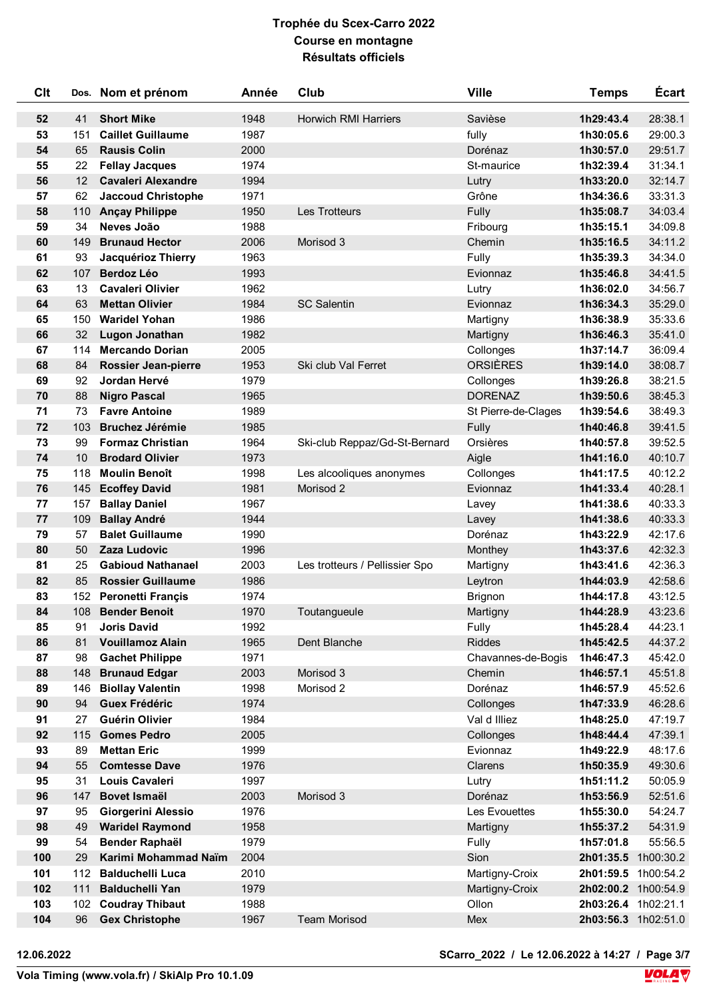| <b>Clt</b> |           | Dos. Nom et prénom                                | Année        | Club                           | <b>Ville</b>            | <b>Temps</b>        | <b>Écart</b>        |
|------------|-----------|---------------------------------------------------|--------------|--------------------------------|-------------------------|---------------------|---------------------|
| 52         | 41        | <b>Short Mike</b>                                 | 1948         | <b>Horwich RMI Harriers</b>    | Savièse                 | 1h29:43.4           | 28:38.1             |
| 53         | 151       | <b>Caillet Guillaume</b>                          | 1987         |                                | fully                   | 1h30:05.6           | 29:00.3             |
| 54         | 65        | <b>Rausis Colin</b>                               | 2000         |                                | Dorénaz                 | 1h30:57.0           | 29:51.7             |
| 55         | 22        | <b>Fellay Jacques</b>                             | 1974         |                                | St-maurice              | 1h32:39.4           | 31:34.1             |
| 56         | 12        | <b>Cavaleri Alexandre</b>                         | 1994         |                                | Lutry                   | 1h33:20.0           | 32:14.7             |
| 57         | 62        | <b>Jaccoud Christophe</b>                         | 1971         |                                | Grône                   | 1h34:36.6           | 33:31.3             |
| 58         | 110       | <b>Ançay Philippe</b>                             | 1950         | Les Trotteurs                  | Fully                   | 1h35:08.7           | 34:03.4             |
| 59         | 34        | Neves João                                        | 1988         |                                | Fribourg                | 1h35:15.1           | 34:09.8             |
| 60         | 149       | <b>Brunaud Hector</b>                             | 2006         | Morisod 3                      | Chemin                  | 1h35:16.5           | 34:11.2             |
| 61         | 93        | Jacquérioz Thierry                                | 1963         |                                | Fully                   | 1h35:39.3           | 34:34.0             |
| 62         | 107       | <b>Berdoz Léo</b>                                 | 1993         |                                | Evionnaz                | 1h35:46.8           | 34:41.5             |
| 63         | 13        | <b>Cavaleri Olivier</b>                           | 1962         |                                | Lutry                   | 1h36:02.0           | 34:56.7             |
| 64         | 63        | <b>Mettan Olivier</b>                             | 1984         | <b>SC Salentin</b>             | Evionnaz                | 1h36:34.3           | 35:29.0             |
| 65         | 150       | <b>Waridel Yohan</b>                              | 1986         |                                | Martigny                | 1h36:38.9           | 35:33.6             |
| 66         | 32        | Lugon Jonathan                                    | 1982         |                                | Martigny                | 1h36:46.3           | 35:41.0             |
| 67         | 114       | <b>Mercando Dorian</b>                            | 2005         |                                | Collonges               | 1h37:14.7           | 36:09.4             |
| 68         | 84        | <b>Rossier Jean-pierre</b>                        | 1953         | Ski club Val Ferret            | <b>ORSIÈRES</b>         | 1h39:14.0           | 38:08.7             |
| 69         | 92        | Jordan Hervé                                      | 1979         |                                | Collonges               | 1h39:26.8           | 38:21.5             |
| 70         | 88        | <b>Nigro Pascal</b>                               | 1965         |                                | <b>DORENAZ</b>          | 1h39:50.6           | 38:45.3             |
| 71         | 73        | <b>Favre Antoine</b>                              | 1989         |                                | St Pierre-de-Clages     | 1h39:54.6           | 38:49.3             |
| 72         | 103       | <b>Bruchez Jérémie</b>                            | 1985         |                                | Fully                   | 1h40:46.8           | 39:41.5             |
| 73         | 99        | <b>Formaz Christian</b>                           | 1964         | Ski-club Reppaz/Gd-St-Bernard  | Orsières                | 1h40:57.8           | 39:52.5             |
| 74         | 10        | <b>Brodard Olivier</b>                            | 1973         |                                | Aigle                   | 1h41:16.0           | 40:10.7             |
| 75         | 118       | <b>Moulin Benoît</b>                              | 1998         | Les alcooliques anonymes       | Collonges               | 1h41:17.5           | 40:12.2             |
| 76         | 145       | <b>Ecoffey David</b>                              | 1981         | Morisod 2                      | Evionnaz                | 1h41:33.4           | 40:28.1             |
| 77         | 157       | <b>Ballay Daniel</b>                              | 1967         |                                | Lavey                   | 1h41:38.6           | 40:33.3             |
| 77         | 109       | <b>Ballay André</b>                               | 1944         |                                | Lavey                   | 1h41:38.6           | 40:33.3             |
| 79         | 57        | <b>Balet Guillaume</b>                            | 1990         |                                | Dorénaz                 | 1h43:22.9           | 42:17.6             |
| 80         | 50        | Zaza Ludovic                                      | 1996         |                                | Monthey                 | 1h43:37.6           | 42:32.3             |
| 81         | 25        | <b>Gabioud Nathanael</b>                          | 2003         | Les trotteurs / Pellissier Spo | Martigny                | 1h43:41.6           | 42:36.3             |
| 82         | 85        | <b>Rossier Guillaume</b>                          | 1986         |                                | Leytron                 | 1h44:03.9           | 42:58.6             |
| 83         | 152       | <b>Peronetti Françis</b>                          | 1974         |                                | <b>Brignon</b>          | 1h44:17.8           | 43:12.5             |
| 84         | 108       | <b>Bender Benoit</b>                              | 1970         | Toutangueule                   | Martigny                | 1h44:28.9           | 43:23.6             |
| 85         | 91        | <b>Joris David</b>                                | 1992         |                                | Fully                   | 1h45:28.4           | 44:23.1             |
| 86         | 81        | <b>Vouillamoz Alain</b>                           | 1965         | Dent Blanche                   | <b>Riddes</b>           | 1h45:42.5           | 44:37.2             |
| 87         | 98        | <b>Gachet Philippe</b>                            | 1971         |                                | Chavannes-de-Bogis      | 1h46:47.3           | 45:42.0             |
| 88         | 148       | <b>Brunaud Edgar</b>                              | 2003         | Morisod 3                      | Chemin                  | 1h46:57.1           | 45:51.8             |
| 89         | 146       | <b>Biollay Valentin</b>                           | 1998         | Morisod 2                      | Dorénaz                 | 1h46:57.9           | 45:52.6             |
| 90         | 94        | <b>Guex Frédéric</b>                              | 1974         |                                | Collonges               | 1h47:33.9           | 46:28.6             |
| 91         | 27        | Guérin Olivier                                    | 1984         |                                | Val d Illiez            | 1h48:25.0           | 47:19.7             |
| 92         | 115       | <b>Gomes Pedro</b>                                | 2005         |                                | Collonges               | 1h48:44.4           | 47:39.1             |
| 93         | 89        | <b>Mettan Eric</b>                                | 1999         |                                | Evionnaz                | 1h49:22.9           | 48:17.6             |
| 94         | 55        | <b>Comtesse Dave</b>                              | 1976         |                                | Clarens                 | 1h50:35.9           | 49:30.6             |
| 95         | 31        | <b>Louis Cavaleri</b>                             | 1997         |                                | Lutry                   | 1h51:11.2           | 50:05.9             |
| 96         | 147       | <b>Bovet Ismaël</b>                               | 2003         | Morisod 3                      | Dorénaz                 | 1h53:56.9           | 52:51.6             |
| 97         | 95        | Giorgerini Alessio                                | 1976         |                                | Les Evouettes           | 1h55:30.0           | 54:24.7             |
| 98         | 49        | <b>Waridel Raymond</b>                            | 1958         |                                | Martigny                | 1h55:37.2           | 54:31.9             |
| 99         | 54        | <b>Bender Raphaël</b>                             | 1979         |                                | Fully                   | 1h57:01.8           | 55:56.5             |
| 100        | 29        | Karimi Mohammad Naïm                              | 2004         |                                | Sion                    |                     | 2h01:35.5 1h00:30.2 |
| 101        | 112       | <b>Balduchelli Luca</b><br><b>Balduchelli Yan</b> | 2010         |                                | Martigny-Croix          | 2h01:59.5 1h00:54.2 |                     |
| 102<br>103 | 111       |                                                   | 1979<br>1988 |                                | Martigny-Croix<br>Ollon | 2h03:26.4 1h02:21.1 | 2h02:00.2 1h00:54.9 |
| 104        | 102<br>96 | <b>Coudray Thibaut</b><br><b>Gex Christophe</b>   | 1967         | <b>Team Morisod</b>            | Mex                     |                     | 2h03:56.3 1h02:51.0 |
|            |           |                                                   |              |                                |                         |                     |                     |

**12.06.2022 SCarro\_2022 / Le 12.06.2022 à 14:27 / Page 3/7**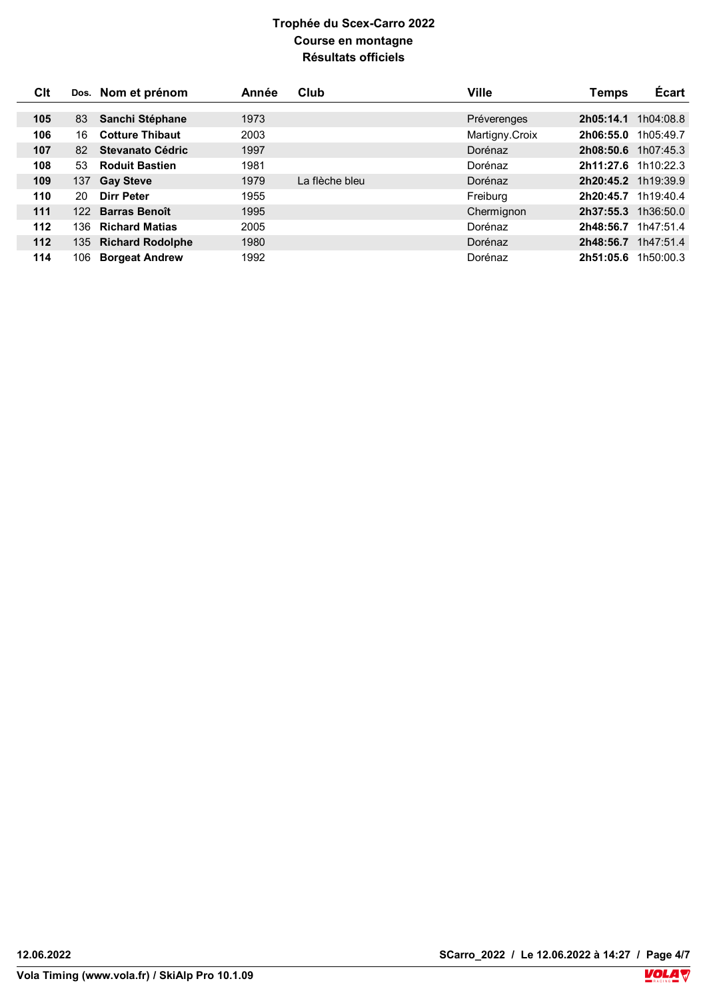| Clt   |      | Dos. Nom et prénom      | Année | Club           | Ville          | Temps                 | <b>Écart</b> |
|-------|------|-------------------------|-------|----------------|----------------|-----------------------|--------------|
|       |      |                         |       |                |                |                       |              |
| 105   | 83   | Sanchi Stéphane         | 1973  |                | Préverenges    | 2h05:14.1             | 1h04:08.8    |
| 106   | 16   | <b>Cotture Thibaut</b>  | 2003  |                | Martigny.Croix | 2h06:55.0             | 1h05:49.7    |
| 107   | 82   | Stevanato Cédric        | 1997  |                | Dorénaz        | $2h08:50.6$ 1h07:45.3 |              |
| 108   | 53   | <b>Roduit Bastien</b>   | 1981  |                | Dorénaz        | 2h11:27.6 1h10:22.3   |              |
| 109   | 137  | <b>Gay Steve</b>        | 1979  | La flèche bleu | Dorénaz        | 2h20:45.2 1h19:39.9   |              |
| 110   | 20   | Dirr Peter              | 1955  |                | Freiburg       | 2h20:45.7 1h19:40.4   |              |
| 111   | 122  | <b>Barras Benoît</b>    | 1995  |                | Chermignon     | 2h37:55.3             | 1h36:50.0    |
| 112   | 136. | <b>Richard Matias</b>   | 2005  |                | Dorénaz        | 2h48:56.7             | 1h47:51.4    |
| $112$ | 135. | <b>Richard Rodolphe</b> | 1980  |                | Dorénaz        | 2h48:56.7             | 1h47:51.4    |
| 114   | 106. | <b>Borgeat Andrew</b>   | 1992  |                | Dorénaz        | 2h51:05.6             | 1h50:00.3    |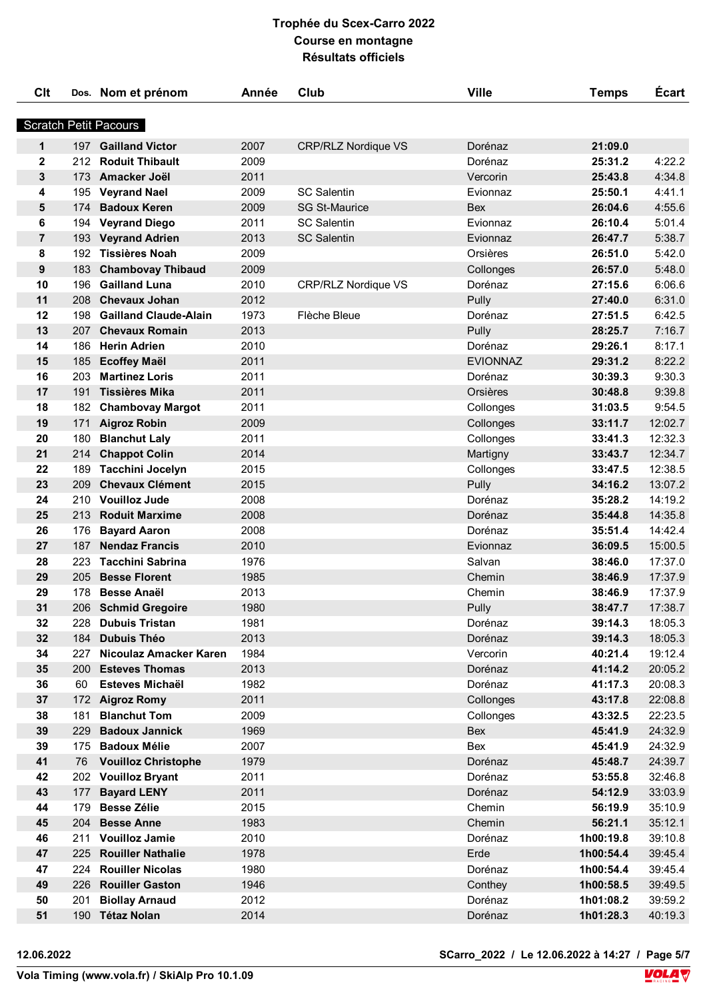| <b>Clt</b>     |            | Dos. Nom et prénom                               | Année        | Club                       | <b>Ville</b>     | <b>Temps</b>       | Écart            |
|----------------|------------|--------------------------------------------------|--------------|----------------------------|------------------|--------------------|------------------|
|                |            | <b>Scratch Petit Pacours</b>                     |              |                            |                  |                    |                  |
|                |            |                                                  |              |                            |                  |                    |                  |
| $\mathbf{1}$   |            | 197 Gailland Victor                              | 2007         | <b>CRP/RLZ Nordique VS</b> | Dorénaz          | 21:09.0            |                  |
| $\mathbf{2}$   | 212        | <b>Roduit Thibault</b>                           | 2009         |                            | Dorénaz          | 25:31.2            | 4:22.2           |
| 3              | 173        | Amacker Joël                                     | 2011         |                            | Vercorin         | 25:43.8            | 4:34.8           |
| 4              | 195        | <b>Veyrand Nael</b>                              | 2009         | <b>SC Salentin</b>         | Evionnaz         | 25:50.1            | 4:41.1           |
| 5              | 174        | <b>Badoux Keren</b>                              | 2009         | <b>SG St-Maurice</b>       | <b>Bex</b>       | 26:04.6            | 4:55.6           |
| 6              | 194        | <b>Veyrand Diego</b>                             | 2011         | <b>SC Salentin</b>         | Evionnaz         | 26:10.4            | 5:01.4           |
| $\overline{7}$ | 193        | <b>Veyrand Adrien</b>                            | 2013         | <b>SC Salentin</b>         | Evionnaz         | 26:47.7            | 5:38.7           |
| 8              |            | 192 Tissières Noah                               | 2009         |                            | Orsières         | 26:51.0            | 5:42.0           |
| 9              | 183        | <b>Chambovay Thibaud</b><br><b>Gailland Luna</b> | 2009         |                            | Collonges        | 26:57.0            | 5:48.0           |
| 10<br>11       | 196<br>208 | <b>Chevaux Johan</b>                             | 2010<br>2012 | <b>CRP/RLZ Nordique VS</b> | Dorénaz          | 27:15.6            | 6:06.6           |
| 12             | 198        | <b>Gailland Claude-Alain</b>                     | 1973         | Flèche Bleue               | Pully            | 27:40.0<br>27:51.5 | 6:31.0<br>6:42.5 |
| 13             |            | 207 Chevaux Romain                               | 2013         |                            | Dorénaz<br>Pully | 28:25.7            | 7:16.7           |
| 14             | 186        | <b>Herin Adrien</b>                              | 2010         |                            | Dorénaz          | 29:26.1            | 8:17.1           |
| 15             | 185        |                                                  | 2011         |                            | <b>EVIONNAZ</b>  | 29:31.2            | 8:22.2           |
| 16             | 203        | <b>Ecoffey Maël</b><br><b>Martinez Loris</b>     | 2011         |                            | Dorénaz          | 30:39.3            | 9:30.3           |
| 17             | 191        | Tissières Mika                                   | 2011         |                            | Orsières         | 30:48.8            | 9:39.8           |
| 18             | 182        | <b>Chambovay Margot</b>                          | 2011         |                            | Collonges        | 31:03.5            | 9:54.5           |
| 19             | 171        | <b>Aigroz Robin</b>                              | 2009         |                            | Collonges        | 33:11.7            | 12:02.7          |
| 20             | 180        | <b>Blanchut Laly</b>                             | 2011         |                            | Collonges        | 33:41.3            | 12:32.3          |
| 21             | 214        | <b>Chappot Colin</b>                             | 2014         |                            | Martigny         | 33:43.7            | 12:34.7          |
| 22             | 189        | <b>Tacchini Jocelyn</b>                          | 2015         |                            | Collonges        | 33:47.5            | 12:38.5          |
| 23             | 209        | <b>Chevaux Clément</b>                           | 2015         |                            | Pully            | 34:16.2            | 13:07.2          |
| 24             | 210        | <b>Vouilloz Jude</b>                             | 2008         |                            | Dorénaz          | 35:28.2            | 14:19.2          |
| 25             | 213        | <b>Roduit Marxime</b>                            | 2008         |                            | Dorénaz          | 35:44.8            | 14:35.8          |
| 26             | 176        | <b>Bayard Aaron</b>                              | 2008         |                            | Dorénaz          | 35:51.4            | 14:42.4          |
| 27             | 187        | <b>Nendaz Francis</b>                            | 2010         |                            | Evionnaz         | 36:09.5            | 15:00.5          |
| 28             | 223        | <b>Tacchini Sabrina</b>                          | 1976         |                            | Salvan           | 38:46.0            | 17:37.0          |
| 29             | 205        | <b>Besse Florent</b>                             | 1985         |                            | Chemin           | 38:46.9            | 17:37.9          |
| 29             | 178        | <b>Besse Anaël</b>                               | 2013         |                            | Chemin           | 38:46.9            | 17:37.9          |
| 31             |            | 206 Schmid Gregoire                              | 1980         |                            | Pully            | 38:47.7            | 17:38.7          |
| 32             | 228        | <b>Dubuis Tristan</b>                            | 1981         |                            | Dorénaz          | 39:14.3            | 18:05.3          |
| 32             | 184        | <b>Dubuis Théo</b>                               | 2013         |                            | Dorénaz          | 39:14.3            | 18:05.3          |
| 34             | 227        | Nicoulaz Amacker Karen                           | 1984         |                            | Vercorin         | 40:21.4            | 19:12.4          |
| 35             | 200        | <b>Esteves Thomas</b>                            | 2013         |                            | Dorénaz          | 41:14.2            | 20:05.2          |
| 36             | 60         | Esteves Michaël                                  | 1982         |                            | Dorénaz          | 41:17.3            | 20:08.3          |
| 37             | 172        | <b>Aigroz Romy</b>                               | 2011         |                            | Collonges        | 43:17.8            | 22:08.8          |
| 38             | 181        | <b>Blanchut Tom</b>                              | 2009         |                            | Collonges        | 43:32.5            | 22:23.5          |
| 39             | 229        | <b>Badoux Jannick</b>                            | 1969         |                            | Bex              | 45:41.9            | 24:32.9          |
| 39             | 175        | <b>Badoux Mélie</b>                              | 2007         |                            | Bex              | 45:41.9            | 24:32.9          |
| 41             | 76         | <b>Vouilloz Christophe</b>                       | 1979         |                            | Dorénaz          | 45:48.7            | 24:39.7          |
| 42             | 202        | <b>Vouilloz Bryant</b>                           | 2011         |                            | Dorénaz          | 53:55.8            | 32:46.8          |
| 43             | 177        | <b>Bayard LENY</b>                               | 2011         |                            | Dorénaz          | 54:12.9            | 33:03.9          |
| 44             | 179        | <b>Besse Zélie</b>                               | 2015         |                            | Chemin           | 56:19.9            | 35:10.9          |
| 45             |            | 204 Besse Anne                                   | 1983         |                            | Chemin           | 56:21.1            | 35:12.1          |
| 46             | 211        | <b>Vouilloz Jamie</b>                            | 2010         |                            | Dorénaz          | 1h00:19.8          | 39:10.8          |
| 47             | 225        | <b>Rouiller Nathalie</b>                         | 1978         |                            | Erde             | 1h00:54.4          | 39:45.4          |
| 47             | 224        | <b>Rouiller Nicolas</b>                          | 1980         |                            | Dorénaz          | 1h00:54.4          | 39:45.4          |
| 49             | 226        | <b>Rouiller Gaston</b>                           | 1946         |                            | Conthey          | 1h00:58.5          | 39:49.5          |
| 50             | 201        | <b>Biollay Arnaud</b>                            | 2012         |                            | Dorénaz          | 1h01:08.2          | 39:59.2          |
| 51             |            | 190 Tétaz Nolan                                  | 2014         |                            | Dorénaz          | 1h01:28.3          | 40:19.3          |

**12.06.2022 SCarro\_2022 / Le 12.06.2022 à 14:27 / Page 5/7**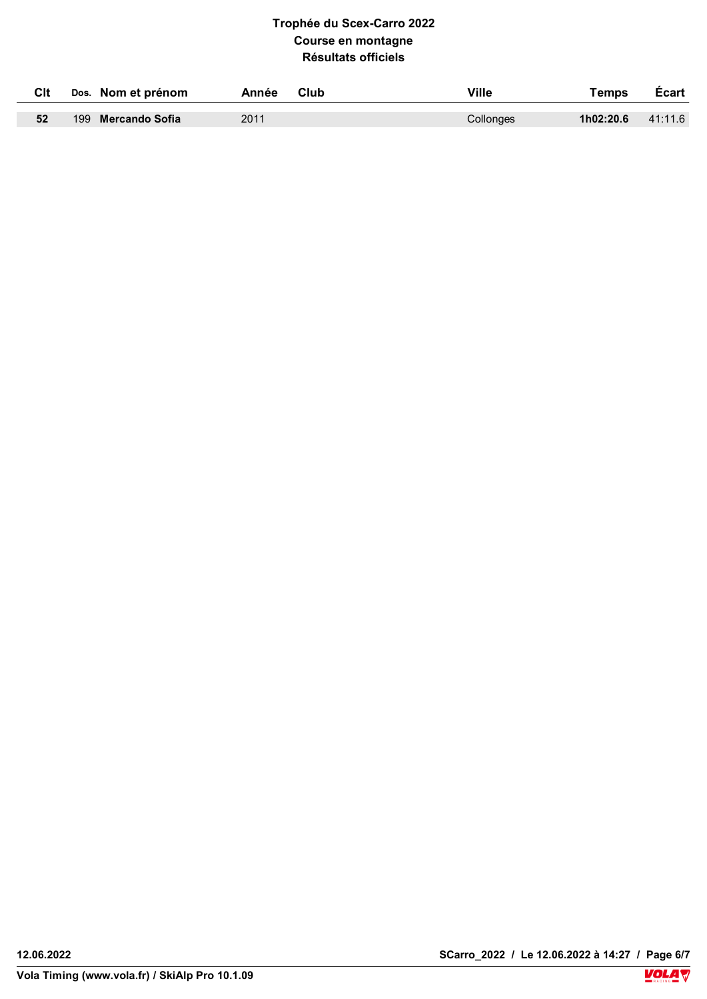| Clt | Dos. Nom et prénom | Club<br>Année | Ville     | Temps     | <b>Ecart</b> |
|-----|--------------------|---------------|-----------|-----------|--------------|
|     |                    |               |           |           |              |
| 52  | 199 Mercando Sofia | 2011          | Collonges | 1h02:20.6 | 41:11.6      |

Ţ